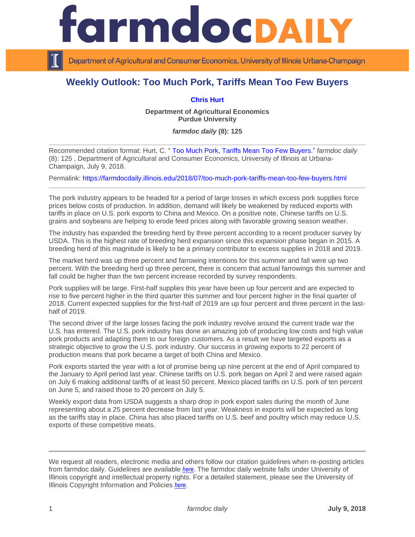## rmdocpa

Department of Agricultural and Consumer Economics, University of Illinois Urbana-Champaign

## **Weekly Outlook: Too Much Pork, Tariffs Mean Too Few Buyers**

## **[Chris Hurt](https://ag.purdue.edu/agecon/Pages/Profile.aspx?strAlias=hurtc)**

**Department of Agricultural Economics Purdue University**

*farmdoc daily* **(8): 125**

Recommended citation format: Hurt, C. " [Too Much Pork, Tariffs Mean Too Few Buyers.](https://farmdocdaily.illinois.edu/2018/07/too-much-pork-tariffs-mean-too-few-buyers.html)" *farmdoc daily*  (8): 125 , Department of Agricultural and Consumer Economics, University of Illinois at Urbana-Champaign, July 9, 2018.

Permalink:<https://farmdocdaily.illinois.edu/2018/07/too-much-pork-tariffs-mean-too-few-buyers.html>

The pork industry appears to be headed for a period of large losses in which excess pork supplies force prices below costs of production. In addition, demand will likely be weakened by reduced exports with tariffs in place on U.S. pork exports to China and Mexico. On a positive note, Chinese tariffs on U.S. grains and soybeans are helping to erode feed prices along with favorable growing season weather.

The industry has expanded the breeding herd by three percent according to a recent producer survey by USDA. This is the highest rate of breeding herd expansion since this expansion phase began in 2015. A breeding herd of this magnitude is likely to be a primary contributor to excess supplies in 2018 and 2019.

The market herd was up three percent and farrowing intentions for this summer and fall were up two percent. With the breeding herd up three percent, there is concern that actual farrowings this summer and fall could be higher than the two percent increase recorded by survey respondents.

Pork supplies will be large. First-half supplies this year have been up four percent and are expected to rise to five percent higher in the third quarter this summer and four percent higher in the final quarter of 2018. Current expected supplies for the first-half of 2019 are up four percent and three percent in the lasthalf of 2019.

The second driver of the large losses facing the pork industry revolve around the current trade war the U.S. has entered. The U.S. pork industry has done an amazing job of producing low costs and high value pork products and adapting them to our foreign customers. As a result we have targeted exports as a strategic objective to grow the U.S. pork industry. Our success in growing exports to 22 percent of production means that pork became a target of both China and Mexico.

Pork exports started the year with a lot of promise being up nine percent at the end of April compared to the January to April period last year. Chinese tariffs on U.S. pork began on April 2 and were raised again on July 6 making additional tariffs of at least 50 percent. Mexico placed tariffs on U.S. pork of ten percent on June 5, and raised those to 20 percent on July 5.

Weekly export data from USDA suggests a sharp drop in pork export sales during the month of June representing about a 25 percent decrease from last year. Weakness in exports will be expected as long as the tariffs stay in place. China has also placed tariffs on U.S. beef and poultry which may reduce U.S. exports of these competitive meats.

We request all readers, electronic media and others follow our citation guidelines when re-posting articles from farmdoc daily. Guidelines are available *[here](http://farmdocdaily.illinois.edu/citationguide.html)*. The farmdoc daily website falls under University of Illinois copyright and intellectual property rights. For a detailed statement, please see the University of Illinois Copyright Information and Policies *[here](http://www.cio.illinois.edu/policies/copyright/)*.